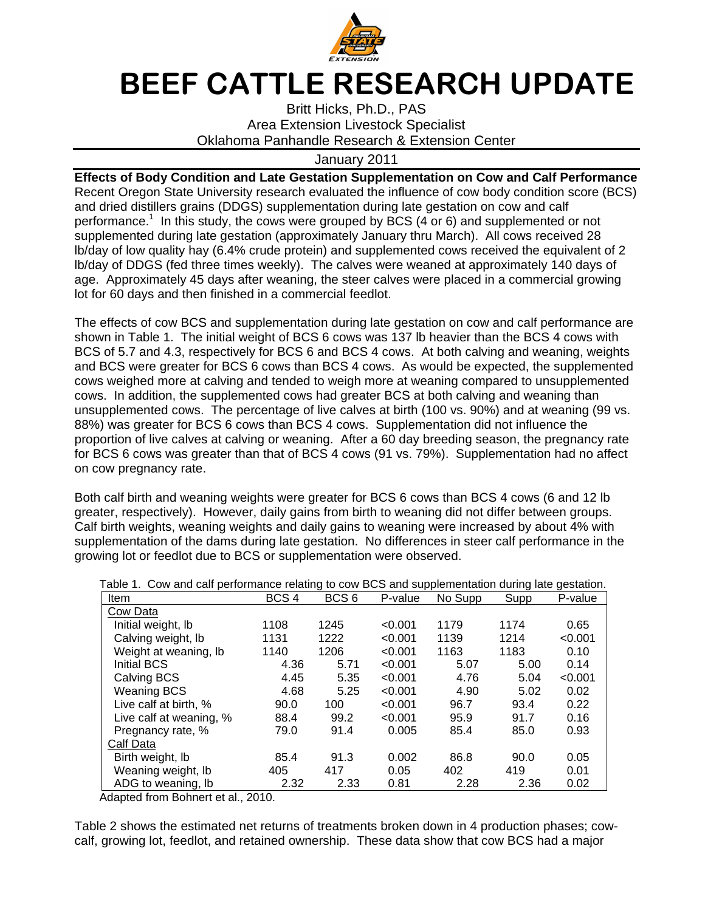

## BEEF CATTLE RESEARCH UPDATE

Britt Hicks, Ph.D., PAS Area Extension Livestock Specialist Oklahoma Panhandle Research & Extension Center

## January 2011

**Effects of Body Condition and Late Gestation Supplementation on Cow and Calf Performance**  Recent Oregon State University research evaluated the influence of cow body condition score (BCS) and dried distillers grains (DDGS) supplementation during late gestation on cow and calf performance.<sup>1</sup> In this study, the cows were grouped by BCS (4 or 6) and supplemented or not supplemented during late gestation (approximately January thru March). All cows received 28 lb/day of low quality hay (6.4% crude protein) and supplemented cows received the equivalent of 2 lb/day of DDGS (fed three times weekly). The calves were weaned at approximately 140 days of age. Approximately 45 days after weaning, the steer calves were placed in a commercial growing lot for 60 days and then finished in a commercial feedlot.

The effects of cow BCS and supplementation during late gestation on cow and calf performance are shown in Table 1. The initial weight of BCS 6 cows was 137 lb heavier than the BCS 4 cows with BCS of 5.7 and 4.3, respectively for BCS 6 and BCS 4 cows. At both calving and weaning, weights and BCS were greater for BCS 6 cows than BCS 4 cows. As would be expected, the supplemented cows weighed more at calving and tended to weigh more at weaning compared to unsupplemented cows. In addition, the supplemented cows had greater BCS at both calving and weaning than unsupplemented cows. The percentage of live calves at birth (100 vs. 90%) and at weaning (99 vs. 88%) was greater for BCS 6 cows than BCS 4 cows. Supplementation did not influence the proportion of live calves at calving or weaning. After a 60 day breeding season, the pregnancy rate for BCS 6 cows was greater than that of BCS 4 cows (91 vs. 79%). Supplementation had no affect on cow pregnancy rate.

Both calf birth and weaning weights were greater for BCS 6 cows than BCS 4 cows (6 and 12 lb greater, respectively). However, daily gains from birth to weaning did not differ between groups. Calf birth weights, weaning weights and daily gains to weaning were increased by about 4% with supplementation of the dams during late gestation. No differences in steer calf performance in the growing lot or feedlot due to BCS or supplementation were observed.

| rable T. Cow and call performance relating to cow BCS and supplementation during late gestation. |                  |                  |         |         |      |         |  |  |  |
|--------------------------------------------------------------------------------------------------|------------------|------------------|---------|---------|------|---------|--|--|--|
| Item                                                                                             | BCS <sub>4</sub> | BCS <sub>6</sub> | P-value | No Supp | Supp | P-value |  |  |  |
| Cow Data                                                                                         |                  |                  |         |         |      |         |  |  |  |
| Initial weight, lb                                                                               | 1108             | 1245             | < 0.001 | 1179    | 1174 | 0.65    |  |  |  |
| Calving weight, Ib                                                                               | 1131             | 1222             | < 0.001 | 1139    | 1214 | < 0.001 |  |  |  |
| Weight at weaning, lb                                                                            | 1140             | 1206             | < 0.001 | 1163    | 1183 | 0.10    |  |  |  |
| <b>Initial BCS</b>                                                                               | 4.36             | 5.71             | < 0.001 | 5.07    | 5.00 | 0.14    |  |  |  |
| Calving BCS                                                                                      | 4.45             | 5.35             | < 0.001 | 4.76    | 5.04 | < 0.001 |  |  |  |
| <b>Weaning BCS</b>                                                                               | 4.68             | 5.25             | < 0.001 | 4.90    | 5.02 | 0.02    |  |  |  |
| Live calf at birth, %                                                                            | 90.0             | 100              | < 0.001 | 96.7    | 93.4 | 0.22    |  |  |  |
| Live calf at weaning, %                                                                          | 88.4             | 99.2             | < 0.001 | 95.9    | 91.7 | 0.16    |  |  |  |
| Pregnancy rate, %                                                                                | 79.0             | 91.4             | 0.005   | 85.4    | 85.0 | 0.93    |  |  |  |
| Calf Data                                                                                        |                  |                  |         |         |      |         |  |  |  |
| Birth weight, lb                                                                                 | 85.4             | 91.3             | 0.002   | 86.8    | 90.0 | 0.05    |  |  |  |
| Weaning weight, Ib                                                                               | 405              | 417              | 0.05    | 402     | 419  | 0.01    |  |  |  |
| ADG to weaning, lb                                                                               | 2.32             | 2.33             | 0.81    | 2.28    | 2.36 | 0.02    |  |  |  |

Table 1. Cow and calf performance relating to cow BCS and supplementation during late gestation.

Adapted from Bohnert et al., 2010.

Table 2 shows the estimated net returns of treatments broken down in 4 production phases; cowcalf, growing lot, feedlot, and retained ownership. These data show that cow BCS had a major